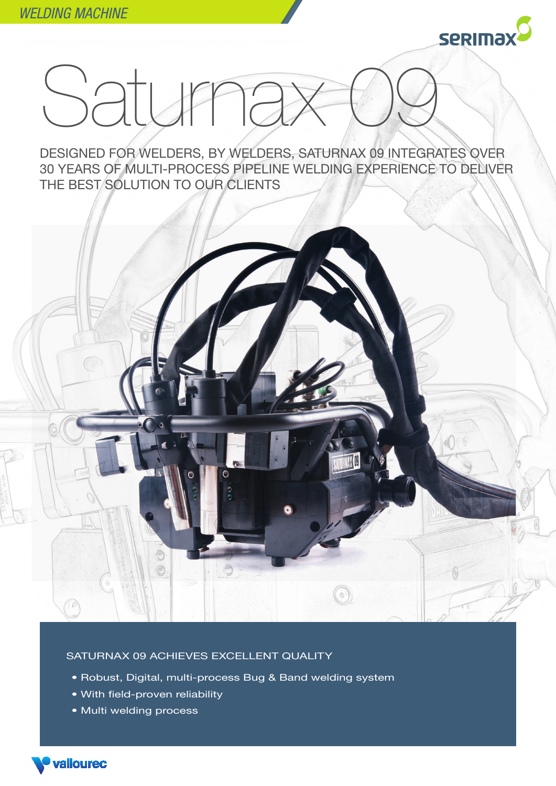

## saturna

DESIGNED FOR WELDERS, BY WELDERS, SATURNAX 09 INTEGRATES OVER 30 YEARS OF MULTI-PROCESS PIPELINE WELDING EXPERIENCE TO DELIVER THE BEST SOLUTION TO OUR CLIENTS



## SATURNAX 09 ACHIEVES EXCELLENT QUALITY

- Robust, Digital, multi-process Bug & Band welding system
- With field-proven reliability
- Multi welding process